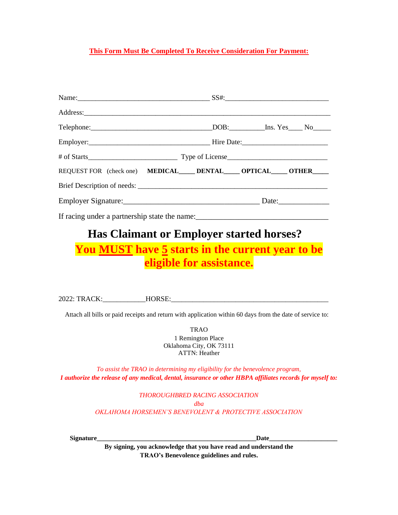#### **This Form Must Be Completed To Receive Consideration For Payment:**

|                                               | REQUEST FOR (check one) MEDICAL_____DENTAL_____ OPTICAL_____ OTHER_____ |
|-----------------------------------------------|-------------------------------------------------------------------------|
|                                               |                                                                         |
|                                               |                                                                         |
| If racing under a partnership state the name: |                                                                         |

# **Has Claimant or Employer started horses?**

## **You MUST have 5 starts in the current year to be eligible for assistance.**

2022: TRACK:\_\_\_\_\_\_\_\_\_\_\_\_HORSE:\_\_\_\_\_\_\_\_\_\_\_\_\_\_\_\_\_\_\_\_\_\_\_\_\_\_\_\_\_\_\_\_\_\_\_\_\_\_\_\_\_\_\_\_

Attach all bills or paid receipts and return with application within 60 days from the date of service to:

TRAO 1 Remington Place Oklahoma City, OK 73111 ATTN: Heather

*To assist the TRAO in determining my eligibility for the benevolence program, I authorize the release of any medical, dental, insurance or other HBPA affiliates records for myself to:*

> *THOROUGHBRED RACING ASSOCIATION dba OKLAHOMA HORSEMEN'S BENEVOLENT & PROTECTIVE ASSOCIATION*

**Signature\_\_\_\_\_\_\_\_\_\_\_\_\_\_\_\_\_\_\_\_\_\_\_\_\_\_\_\_\_\_\_\_\_\_\_\_\_\_\_\_\_\_\_\_\_\_\_\_\_Date\_\_\_\_\_\_\_\_\_\_\_\_\_\_\_\_\_\_\_\_\_**

**By signing, you acknowledge that you have read and understand the TRAO's Benevolence guidelines and rules.**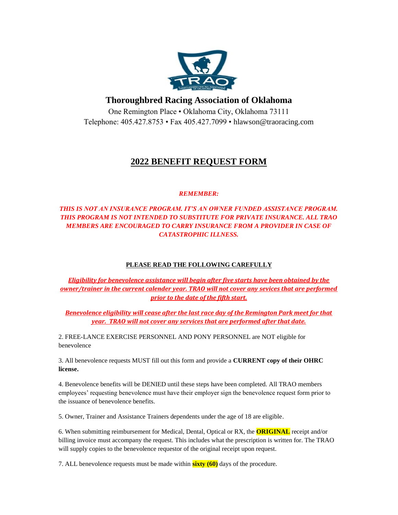

#### **Thoroughbred Racing Association of Oklahoma**

One Remington Place • Oklahoma City, Oklahoma 73111 Telephone: 405.427.8753 • Fax 405.427.7099 • hlawson@traoracing.com

### **2022 BENEFIT REQUEST FORM**

#### *REMEMBER:*

#### *THIS IS NOT AN INSURANCE PROGRAM. IT'S AN OWNER FUNDED ASSISTANCE PROGRAM. THIS PROGRAM IS NOT INTENDED TO SUBSTITUTE FOR PRIVATE INSURANCE. ALL TRAO MEMBERS ARE ENCOURAGED TO CARRY INSURANCE FROM A PROVIDER IN CASE OF CATASTROPHIC ILLNESS.*

#### **PLEASE READ THE FOLLOWING CAREFULLY**

*Eligibility for benevolence assistance will begin after five starts have been obtained by the owner/trainer in the current calender year. TRAO will not cover any sevices that are performed prior to the date of the fifth start.*

*Benevolence eligibility will cease after the last race day of the Remington Park meet for that year. TRAO will not cover any services that are performed after that date.*

2. FREE-LANCE EXERCISE PERSONNEL AND PONY PERSONNEL are NOT eligible for benevolence

3. All benevolence requests MUST fill out this form and provide a **CURRENT copy of their OHRC license.** 

4. Benevolence benefits will be DENIED until these steps have been completed. All TRAO members employees' requesting benevolence must have their employer sign the benevolence request form prior to the issuance of benevolence benefits.

5. Owner, Trainer and Assistance Trainers dependents under the age of 18 are eligible.

6. When submitting reimbursement for Medical, Dental, Optical or RX, the **ORIGINAL** receipt and/or billing invoice must accompany the request. This includes what the prescription is written for. The TRAO will supply copies to the benevolence requestor of the original receipt upon request.

7. ALL benevolence requests must be made within **sixty (60)** days of the procedure.